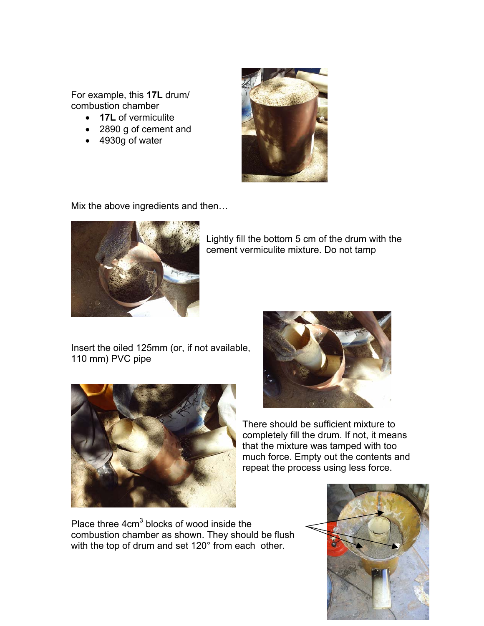For example, this **17L** drum/ combustion chamber

- **17L** of vermiculite
- 2890 g of cement and
- 4930g of water



Mix the above ingredients and then…



Lightly fill the bottom 5 cm of the drum with the cement vermiculite mixture. Do not tamp

Insert the oiled 125mm (or, if not available, 110 mm) PVC pipe





There should be sufficient mixture to completely fill the drum. If not, it means that the mixture was tamped with too much force. Empty out the contents and repeat the process using less force.

Place three 4cm<sup>3</sup> blocks of wood inside the combustion chamber as shown. They should be flush with the top of drum and set 120 $^{\circ}$  from each other.

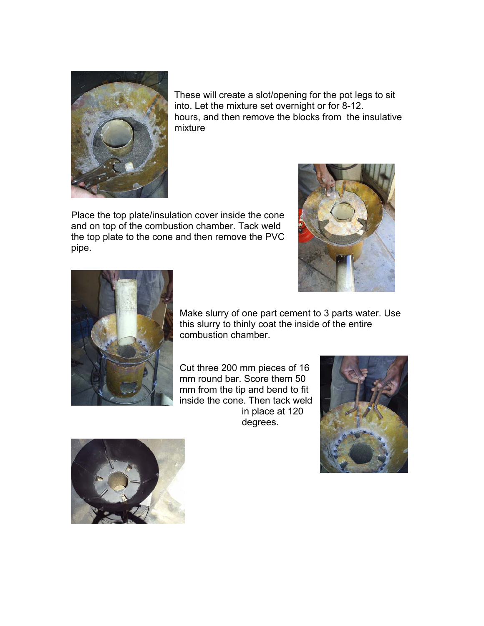

These will create a slot/opening for the pot legs to sit into. Let the mixture set overnight or for 8-12. hours, and then remove the blocks from the insulative mixture

Place the top plate/insulation cover inside the cone and on top of the combustion chamber. Tack weld the top plate to the cone and then remove the PVC pipe.





Make slurry of one part cement to 3 parts water. Use this slurry to thinly coat the inside of the entire combustion chamber.

Cut three 200 mm pieces of 16 inside the cone. Then tack weld in place at 120 mm round bar. Score them 50 mm from the tip and bend to fit degrees.



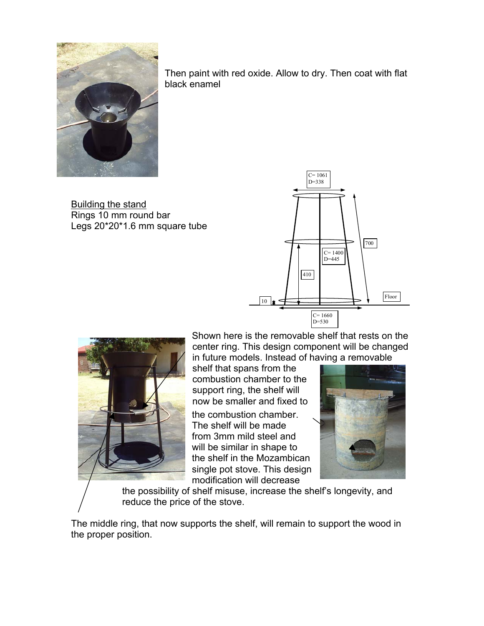

Then paint with red oxide. Allow to dry. Then coat with flat black enamel

Building the stand Rings 10 mm round b a r Legs 20\*20\*1.6 mm square tube





Shown here is the removable shelf that rests on the center ring. This design component will be changed in future models. Instead of having a removable

shelf that spans from the combustion chamber to the support ring, the shelf will now be smaller and fixed to

the combustion chamber. The shelf will be made from 3mm mild steel and will be similar in shape to the shelf in the Mozambican single pot stove. This design modification will decrease



the possibility of shelf misuse, increase the shelf's longevity, and reduce the price of the stove.

The middle ring, that now supports the shelf, will remain to support the wood in the proper position.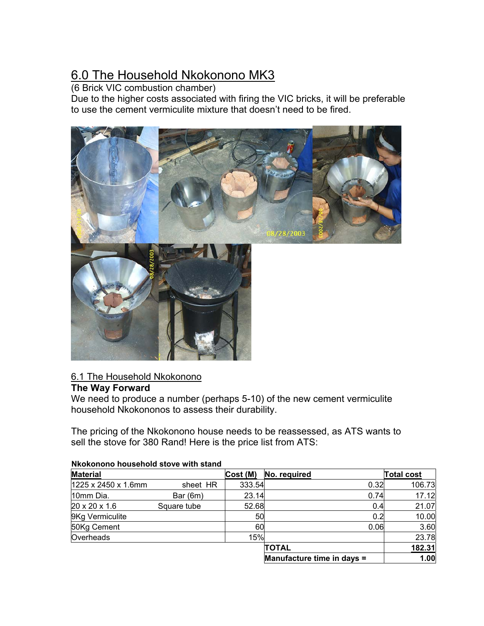# 6.0 The Household Nkokonono MK3

(6 Brick VIC combustion chamber)

Due to the higher costs associated with firing the VIC bricks, it will be preferable to use the cement vermiculite mixture that doesn't need to be fired.



### 6.1 The Household Nkokonono

## **The Way Forward**

We need to produce a number (perhaps 5-10) of the new cement vermiculite household Nkokononos to assess their durability.

The pricing of the Nkokonono house needs to be reassessed, as ATS wants to sell the stove for 380 Rand! Here is the price list from ATS:

| <b>Material</b>     |             | Cost (M) | No. required               | <b>Total cost</b> |
|---------------------|-------------|----------|----------------------------|-------------------|
| 1225 x 2450 x 1.6mm | sheet HR    | 333.54   |                            | 106.73<br>0.32    |
| 10mm Dia.           | Bar (6m)    | 23.14    |                            | 17.12<br>0.74     |
| 20 x 20 x 1.6       | Square tube | 52.68    |                            | 21.07<br>0.4      |
| 9Kg Vermiculite     |             | 50       |                            | 10.00<br>0.2      |
| 50Kg Cement         |             | 60       |                            | 3.60<br>0.06      |
| Overheads           |             | 15%      |                            | 23.78             |
|                     |             |          | <b>TOTAL</b>               | 182.31            |
|                     |             |          | Manufacture time in days = | 1.00              |

#### **Nkokonono household stove with stand**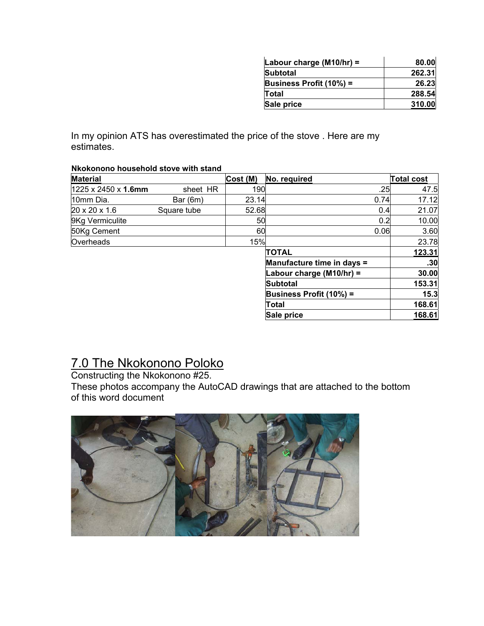| Labour charge $(M10/hr) =$     | 80.00  |
|--------------------------------|--------|
| <b>Subtotal</b>                | 262.31 |
| <b>Business Profit (10%) =</b> | 26.23  |
| Total                          | 288.54 |
| Sale price                     | 310.00 |

In my opinion ATS has overestimated the price of the stove. Here are my estimates.

| <b>Material</b>     |             | Cost (M) | No. required                   | <b>Total cost</b> |
|---------------------|-------------|----------|--------------------------------|-------------------|
| 1225 x 2450 x 1.6mm | sheet HR    | 190      | .25                            | 47.5              |
| 10mm Dia.           | Bar (6m)    | 23.14    | 0.74                           | 17.12             |
| 20 x 20 x 1.6       | Square tube | 52.68    | 0.4                            | 21.07             |
| 9Kg Vermiculite     |             | 50       | 0.2                            | 10.00             |
| 50Kg Cement         |             | 60       | 0.06                           | 3.60              |
| Overheads           |             | 15%      |                                | 23.78             |
|                     |             |          | <b>TOTAL</b>                   | 123.31            |
|                     |             |          | Manufacture time in days =     | .30               |
|                     |             |          | Labour charge (M10/hr) =       | 30.00             |
|                     |             |          | <b>Subtotal</b>                | 153.31            |
|                     |             |          | <b>Business Profit (10%) =</b> | 15.3              |
|                     |             |          | Total                          | 168.61            |
|                     |             |          | Sale price                     | 168.61            |

#### **kokonono household stove with stand N**

## 7.0 The Nkokonono Poloko

Constructing the Nkokonono #25.

These photos accompany the AutoCAD drawings that are attached to the bottom of this word document

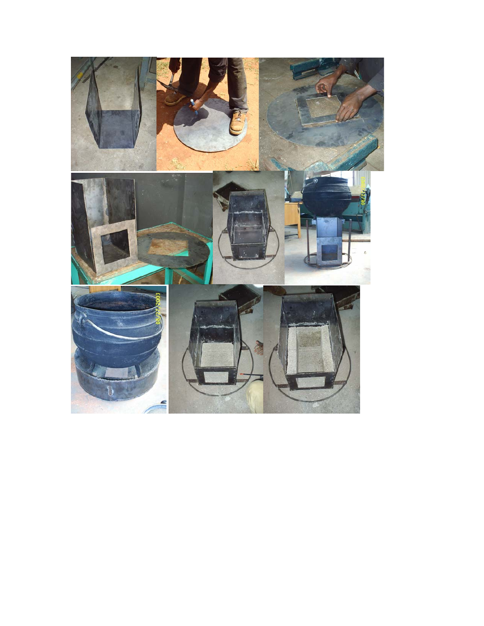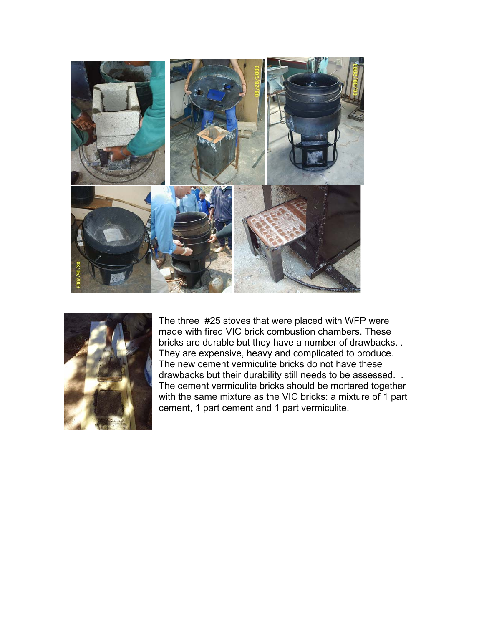



The three #25 stoves that were placed with WFP were made with fired VIC brick combustion chambers. These bricks are durable but they have a number of drawbacks. . They are expensive, heavy and complicated to produce. The new cement vermiculite bricks do not have these drawbacks but their durability still needs to be assessed. . The cement vermiculite bricks should be mortared together with the same mixture as the VIC bricks: a mixture of 1 part cement, 1 part cement and 1 part vermiculite.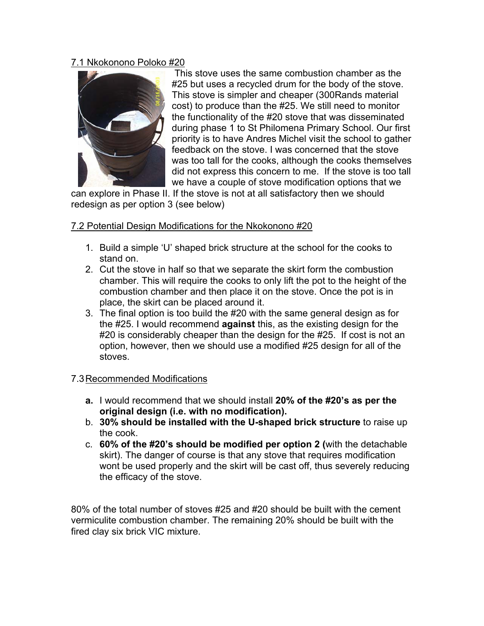### 7.1 Nkokonono Poloko #20



 This stove uses the same combustion chamber as the #25 but uses a recycled drum for the body of the stove. This stove is simpler and cheaper (300Rands material cost) to produce than the #25. We still need to monitor the functionality of the #20 stove that was disseminated during phase 1 to St Philomena Primary School. Our first priority is to have Andres Michel visit the school to gather feedback on the stove. I was concerned that the stove was too tall for the cooks, although the cooks themselves did not express this concern to me. If the stove is too tall we have a couple of stove modification options that we

can explore in Phase II. If the stove is not at all satisfactory then we should redesign as per option 3 (see below)

### 7.2 Potential Design Modifications for the Nkokonono #20

- 1. Build a simple 'U' shaped brick structure at the school for the cooks to stand on.
- 2. Cut the stove in half so that we separate the skirt form the combustion chamber. This will require the cooks to only lift the pot to the height of the combustion chamber and then place it on the stove. Once the pot is in place, the skirt can be placed around it.
- 3. The final option is too build the #20 with the same general design as for the #25. I would recommend **against** this, as the existing design for the #20 is considerably cheaper than the design for the #25. If cost is not an option, however, then we should use a modified #25 design for all of the stoves.

### 7.3 Recommended Modifications

- **a.** I would recommend that we should install **20% of the #20's as per the original design (i.e. with no modification).**
- b. **30% should be installed with the U-shaped brick structure** to raise up the cook.
- c. **60% of the #20's should be modified per option 2 (**with the detachable skirt). The danger of course is that any stove that requires modification wont be used properly and the skirt will be cast off, thus severely reducing the efficacy of the stove.

80% of the total number of stoves #25 and #20 should be built with the cement vermiculite combustion chamber. The remaining 20% should be built with the fired clay six brick VIC mixture.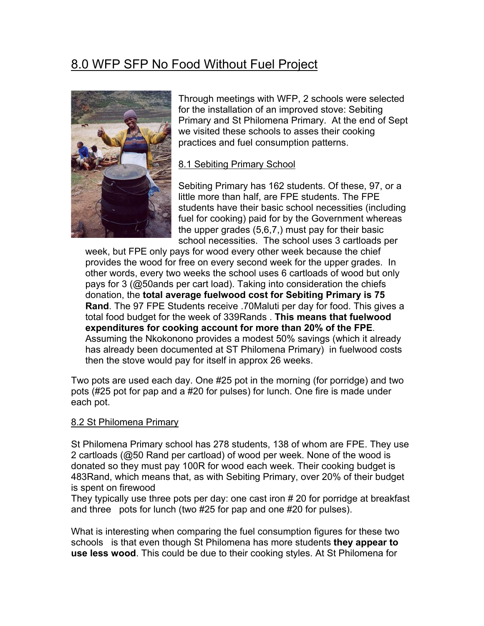## 8.0 WFP SFP No Food Without Fuel Project



Through meetings with WFP, 2 schools were selected for the installation of an improved stove: Sebiting Primary and St Philomena Primary. At the end of Sept we visited these schools to asses their cooking practices and fuel consumption patterns.

## 8.1 Sebiting Primary School

Sebiting Primary has 162 students. Of these, 97, or a little more than half, are FPE students. The FPE students have their basic school necessities (including fuel for cooking) paid for by the Government whereas the upper grades (5,6,7,) must pay for their basic school necessities. The school uses 3 cartloads per

week, but FPE only pays for wood every other week because the chief provides the wood for free on every second week for the upper grades. In other words, every two weeks the school uses 6 cartloads of wood but only pays for 3 (@50ands per cart load). Taking into consideration the chiefs donation, the **total average fuelwood cost for Sebiting Primary is 75 Rand**. The 97 FPE Students receive .70Maluti per day for food. This gives a total food budget for the week of 339Rands . **This means that fuelwood expenditures for cooking account for more than 20% of the FPE**. Assuming the Nkokonono provides a modest 50% savings (which it already has already been documented at ST Philomena Primary) in fuelwood costs then the stove would pay for itself in approx 26 weeks.

Two pots are used each day. One #25 pot in the morning (for porridge) and two pots (#25 pot for pap and a #20 for pulses) for lunch. One fire is made under each pot.

### 8.2 St Philomena Primary

St Philomena Primary school has 278 students, 138 of whom are FPE. They use 2 cartloads (@50 Rand per cartload) of wood per week. None of the wood is donated so they must pay 100R for wood each week. Their cooking budget is 483Rand, which means that, as with Sebiting Primary, over 20% of their budget is spent on firewood

They typically use three pots per day: one cast iron # 20 for porridge at breakfast and three pots for lunch (two #25 for pap and one #20 for pulses).

What is interesting when comparing the fuel consumption figures for these two schools is that even though St Philomena has more students **they appear to use less wood**. This could be due to their cooking styles. At St Philomena for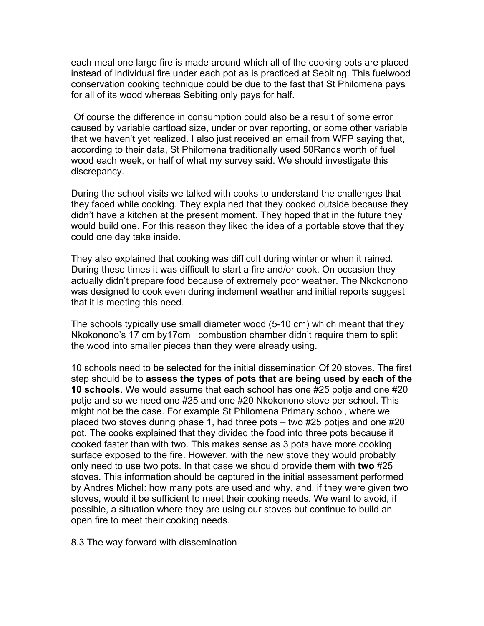each meal one large fire is made around which all of the cooking pots are placed instead of individual fire under each pot as is practiced at Sebiting. This fuelwood conservation cooking technique could be due to the fast that St Philomena pays for all of its wood whereas Sebiting only pays for half.

 Of course the difference in consumption could also be a result of some error caused by variable cartload size, under or over reporting, or some other variable that we haven't yet realized. I also just received an email from WFP saying that, according to their data, St Philomena traditionally used 50Rands worth of fuel wood each week, or half of what my survey said. We should investigate this discrepancy.

During the school visits we talked with cooks to understand the challenges that they faced while cooking. They explained that they cooked outside because they didn't have a kitchen at the present moment. They hoped that in the future they would build one. For this reason they liked the idea of a portable stove that they could one day take inside.

They also explained that cooking was difficult during winter or when it rained. During these times it was difficult to start a fire and/or cook. On occasion they actually didn't prepare food because of extremely poor weather. The Nkokonono was designed to cook even during inclement weather and initial reports suggest that it is meeting this need.

The schools typically use small diameter wood (5-10 cm) which meant that they Nkokonono's 17 cm by17cm combustion chamber didn't require them to split the wood into smaller pieces than they were already using.

10 schools need to be selected for the initial dissemination Of 20 stoves. The first step should be to **assess the types of pots that are being used by each of the 10 schools**. We would assume that each school has one #25 potje and one #20 potje and so we need one #25 and one #20 Nkokonono stove per school. This might not be the case. For example St Philomena Primary school, where we placed two stoves during phase 1, had three pots – two #25 potjes and one #20 pot. The cooks explained that they divided the food into three pots because it cooked faster than with two. This makes sense as 3 pots have more cooking surface exposed to the fire. However, with the new stove they would probably only need to use two pots. In that case we should provide them with **two** #25 stoves. This information should be captured in the initial assessment performed by Andres Michel: how many pots are used and why, and, if they were given two stoves, would it be sufficient to meet their cooking needs. We want to avoid, if possible, a situation where they are using our stoves but continue to build an open fire to meet their cooking needs.

#### 8.3 The way forward with dissemination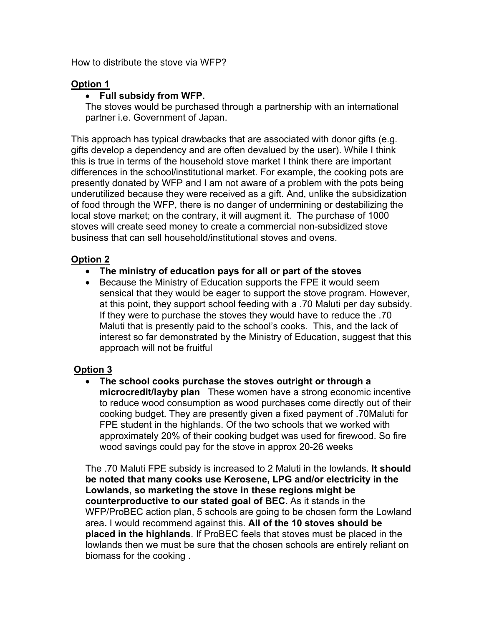How to distribute the stove via WFP?

## **Option 1**

## • **Full subsidy from WFP.**

The stoves would be purchased through a partnership with an international partner i.e. Government of Japan.

This approach has typical drawbacks that are associated with donor gifts (e.g. gifts develop a dependency and are often devalued by the user). While I think this is true in terms of the household stove market I think there are important differences in the school/institutional market. For example, the cooking pots are presently donated by WFP and I am not aware of a problem with the pots being underutilized because they were received as a gift. And, unlike the subsidization of food through the WFP, there is no danger of undermining or destabilizing the local stove market; on the contrary, it will augment it. The purchase of 1000 stoves will create seed money to create a commercial non-subsidized stove business that can sell household/institutional stoves and ovens.

## **Option 2**

- **The ministry of education pays for all or part of the stoves**
- Because the Ministry of Education supports the FPE it would seem sensical that they would be eager to support the stove program. However, at this point, they support school feeding with a .70 Maluti per day subsidy. If they were to purchase the stoves they would have to reduce the .70 Maluti that is presently paid to the school's cooks. This, and the lack of interest so far demonstrated by the Ministry of Education, suggest that this approach will not be fruitful

## **Option 3**

• **The school cooks purchase the stoves outright or through a microcredit/layby plan** These women have a strong economic incentive to reduce wood consumption as wood purchases come directly out of their cooking budget. They are presently given a fixed payment of .70Maluti for FPE student in the highlands. Of the two schools that we worked with approximately 20% of their cooking budget was used for firewood. So fire wood savings could pay for the stove in approx 20-26 weeks

The .70 Maluti FPE subsidy is increased to 2 Maluti in the lowlands. **It should be noted that many cooks use Kerosene, LPG and/or electricity in the Lowlands, so marketing the stove in these regions might be counterproductive to our stated goal of BEC.** As it stands in the WFP/ProBEC action plan, 5 schools are going to be chosen form the Lowland area**.** I would recommend against this. **All of the 10 stoves should be placed in the highlands**. If ProBEC feels that stoves must be placed in the lowlands then we must be sure that the chosen schools are entirely reliant on biomass for the cooking .